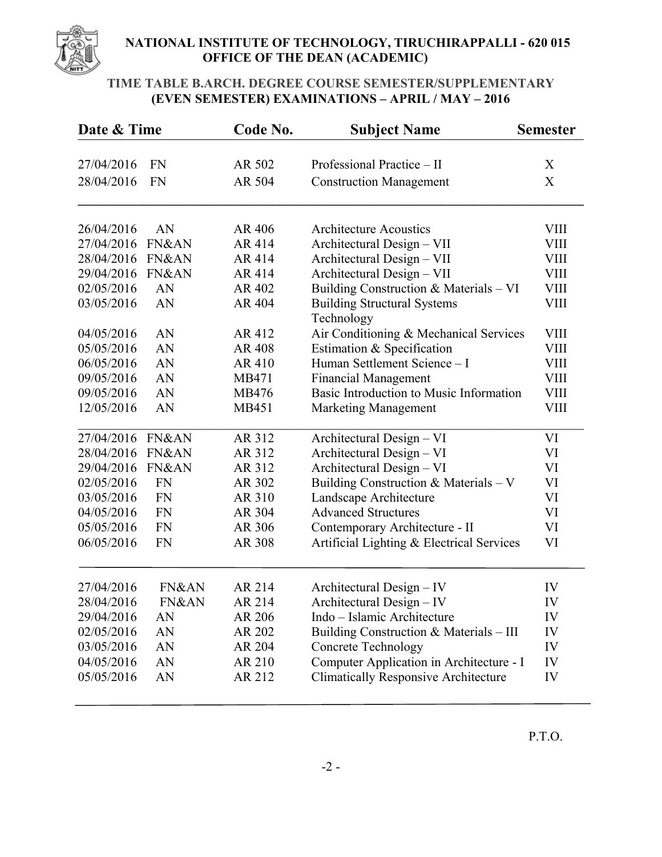

## **NATIONAL INSTITUTE OF TECHNOLOGY, TIRUCHIRAPPALLI - 620 015 OFFICE OF THE DEAN (ACADEMIC)**

## **TIME TABLE B.ARCH. DEGREE COURSE SEMESTER/SUPPLEMENTARY (EVEN SEMESTER) EXAMINATIONS – APRIL / MAY – 2016**

| Date & Time |           | Code No. | <b>Subject Name</b>                         | <b>Semester</b> |  |
|-------------|-----------|----------|---------------------------------------------|-----------------|--|
| 27/04/2016  | <b>FN</b> | AR 502   | Professional Practice - II                  | X               |  |
| 28/04/2016  | <b>FN</b> | AR 504   | <b>Construction Management</b>              | X               |  |
| 26/04/2016  | AN        | AR 406   | <b>Architecture Acoustics</b>               | <b>VIII</b>     |  |
| 27/04/2016  | FN&AN     | AR 414   | Architectural Design - VII                  | <b>VIII</b>     |  |
| 28/04/2016  | FN&AN     | AR 414   | Architectural Design - VII                  | <b>VIII</b>     |  |
| 29/04/2016  | FN&AN     | AR 414   | Architectural Design - VII                  | <b>VIII</b>     |  |
| 02/05/2016  | AN        | AR 402   | Building Construction & Materials - VI      | <b>VIII</b>     |  |
| 03/05/2016  | AN        | AR 404   | <b>Building Structural Systems</b>          | <b>VIII</b>     |  |
|             |           |          | Technology                                  |                 |  |
| 04/05/2016  | AN        | AR 412   | Air Conditioning & Mechanical Services      | <b>VIII</b>     |  |
| 05/05/2016  | AN        | AR 408   | Estimation & Specification                  | <b>VIII</b>     |  |
| 06/05/2016  | AN        | AR 410   | Human Settlement Science - I                | <b>VIII</b>     |  |
| 09/05/2016  | AN        | MB471    | <b>Financial Management</b>                 | <b>VIII</b>     |  |
| 09/05/2016  | AN        | MB476    | Basic Introduction to Music Information     | <b>VIII</b>     |  |
| 12/05/2016  | AN        | MB451    | <b>Marketing Management</b>                 | <b>VIII</b>     |  |
| 27/04/2016  | FN&AN     | AR 312   | Architectural Design - VI                   | VI              |  |
| 28/04/2016  | FN&AN     | AR 312   | Architectural Design - VI                   | VI              |  |
| 29/04/2016  | FN&AN     | AR 312   | Architectural Design - VI                   | VI              |  |
| 02/05/2016  | <b>FN</b> | AR 302   | Building Construction & Materials $-V$      | VI              |  |
| 03/05/2016  | <b>FN</b> | AR 310   | Landscape Architecture                      | VI              |  |
| 04/05/2016  | <b>FN</b> | AR 304   | <b>Advanced Structures</b>                  | VI              |  |
| 05/05/2016  | <b>FN</b> | AR 306   | Contemporary Architecture - II              | VI              |  |
| 06/05/2016  | <b>FN</b> | AR 308   | Artificial Lighting & Electrical Services   | VI              |  |
| 27/04/2016  | FN&AN     | AR 214   | Architectural Design - IV                   | IV              |  |
| 28/04/2016  | FN&AN     | AR 214   | Architectural Design - IV                   | IV              |  |
| 29/04/2016  | AN        | AR 206   | Indo – Islamic Architecture                 | IV              |  |
| 02/05/2016  | AN        | AR 202   | Building Construction & Materials - III     | IV              |  |
| 03/05/2016  | AN        | AR 204   | Concrete Technology                         | IV              |  |
| 04/05/2016  | AN        | AR 210   | Computer Application in Architecture - I    | IV              |  |
| 05/05/2016  | AN        | AR 212   | <b>Climatically Responsive Architecture</b> | IV              |  |

P.T.O.